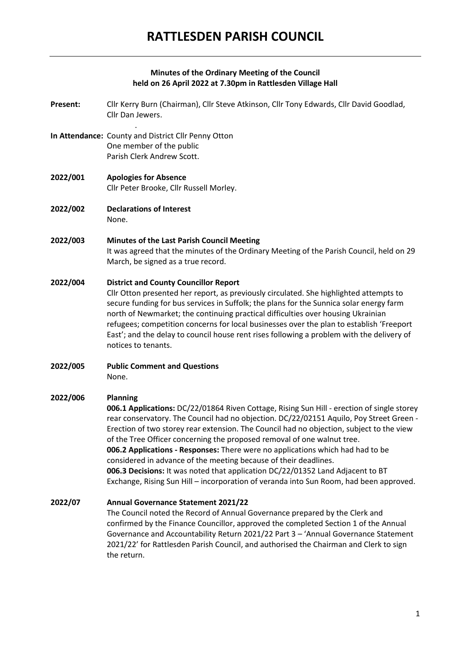# **Minutes of the Ordinary Meeting of the Council held on 26 April 2022 at 7.30pm in Rattlesden Village Hall**

- **Present:** Cllr Kerry Burn (Chairman), Cllr Steve Atkinson, Cllr Tony Edwards, Cllr David Goodlad, Cllr Dan Jewers.
- **In Attendance:** County and District Cllr Penny Otton One member of the public Parish Clerk Andrew Scott.

.

- **2022/001 Apologies for Absence** Cllr Peter Brooke, Cllr Russell Morley.
- **2022/002 Declarations of Interest** None.

# **2022/003 Minutes of the Last Parish Council Meeting** It was agreed that the minutes of the Ordinary Meeting of the Parish Council, held on 29 March, be signed as a true record.

# **2022/004 District and County Councillor Report**

Cllr Otton presented her report, as previously circulated. She highlighted attempts to secure funding for bus services in Suffolk; the plans for the Sunnica solar energy farm north of Newmarket; the continuing practical difficulties over housing Ukrainian refugees; competition concerns for local businesses over the plan to establish 'Freeport East'; and the delay to council house rent rises following a problem with the delivery of notices to tenants.

**2022/005 Public Comment and Questions** None.

#### **2022/006 Planning**

**006.1 Applications:** DC/22/01864 Riven Cottage, Rising Sun Hill - erection of single storey rear conservatory. The Council had no objection. DC/22/02151 Aquilo, Poy Street Green - Erection of two storey rear extension. The Council had no objection, subject to the view of the Tree Officer concerning the proposed removal of one walnut tree. **006.2 Applications - Responses:** There were no applications which had had to be considered in advance of the meeting because of their deadlines. **006.3 Decisions:** It was noted that application DC/22/01352 Land Adjacent to BT Exchange, Rising Sun Hill – incorporation of veranda into Sun Room, had been approved.

#### **2022/07 Annual Governance Statement 2021/22**

The Council noted the Record of Annual Governance prepared by the Clerk and confirmed by the Finance Councillor, approved the completed Section 1 of the Annual Governance and Accountability Return 2021/22 Part 3 – 'Annual Governance Statement 2021/22' for Rattlesden Parish Council, and authorised the Chairman and Clerk to sign the return.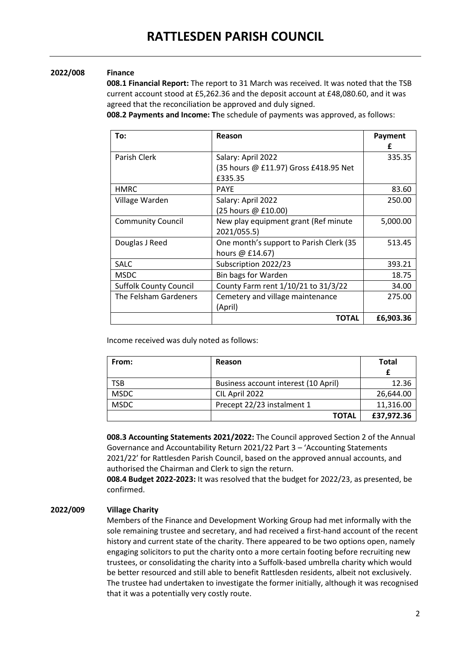# **2022/008 Finance**

**008.1 Financial Report:** The report to 31 March was received. It was noted that the TSB current account stood at £5,262.36 and the deposit account at £48,080.60, and it was agreed that the reconciliation be approved and duly signed.

**008.2 Payments and Income: T**he schedule of payments was approved, as follows:

| To:                           | Reason                                  | Payment   |
|-------------------------------|-----------------------------------------|-----------|
|                               |                                         | f         |
| Parish Clerk                  | Salary: April 2022                      | 335.35    |
|                               | (35 hours @ £11.97) Gross £418.95 Net   |           |
|                               | £335.35                                 |           |
| <b>HMRC</b>                   | <b>PAYE</b>                             | 83.60     |
| Village Warden                | Salary: April 2022                      | 250.00    |
|                               | (25 hours @ £10.00)                     |           |
| <b>Community Council</b>      | New play equipment grant (Ref minute    | 5,000.00  |
|                               | 2021/055.5)                             |           |
| Douglas J Reed                | One month's support to Parish Clerk (35 | 513.45    |
|                               | hours $@$ £14.67)                       |           |
| <b>SALC</b>                   | Subscription 2022/23                    | 393.21    |
| <b>MSDC</b>                   | Bin bags for Warden                     | 18.75     |
| <b>Suffolk County Council</b> | County Farm rent 1/10/21 to 31/3/22     | 34.00     |
| The Felsham Gardeners         | Cemetery and village maintenance        | 275.00    |
|                               | (April)                                 |           |
|                               | <b>TOTAL</b>                            | £6,903.36 |

Income received was duly noted as follows:

| From:       | Reason                               | <b>Total</b> |
|-------------|--------------------------------------|--------------|
|             |                                      |              |
| <b>TSB</b>  | Business account interest (10 April) | 12.36        |
| <b>MSDC</b> | CIL April 2022                       | 26,644.00    |
| <b>MSDC</b> | Precept 22/23 instalment 1           | 11,316.00    |
|             | TOTAL                                | £37,972.36   |

**008.3 Accounting Statements 2021/2022:** The Council approved Section 2 of the Annual Governance and Accountability Return 2021/22 Part 3 – 'Accounting Statements 2021/22' for Rattlesden Parish Council, based on the approved annual accounts, and authorised the Chairman and Clerk to sign the return.

**008.4 Budget 2022-2023:** It was resolved that the budget for 2022/23, as presented, be confirmed.

# **2022/009 Village Charity**

Members of the Finance and Development Working Group had met informally with the sole remaining trustee and secretary, and had received a first-hand account of the recent history and current state of the charity. There appeared to be two options open, namely engaging solicitors to put the charity onto a more certain footing before recruiting new trustees, or consolidating the charity into a Suffolk-based umbrella charity which would be better resourced and still able to benefit Rattlesden residents, albeit not exclusively. The trustee had undertaken to investigate the former initially, although it was recognised that it was a potentially very costly route.